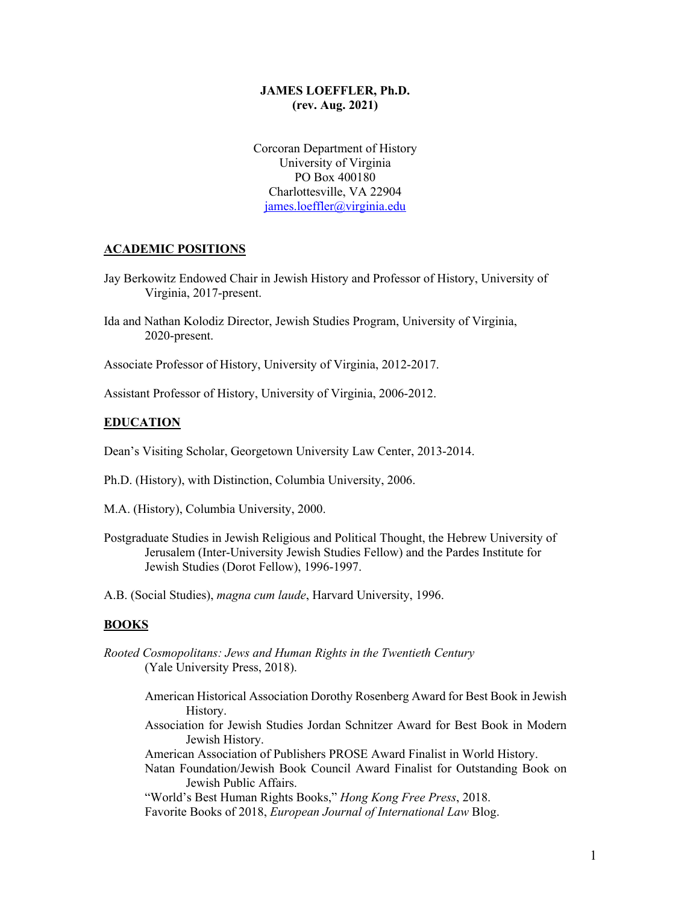## **JAMES LOEFFLER, Ph.D. (rev. Aug. 2021)**

Corcoran Department of History University of Virginia PO Box 400180 Charlottesville, VA 22904 james.loeffler@virginia.edu

#### **ACADEMIC POSITIONS**

- Jay Berkowitz Endowed Chair in Jewish History and Professor of History, University of Virginia, 2017-present.
- Ida and Nathan Kolodiz Director, Jewish Studies Program, University of Virginia, 2020-present.

Associate Professor of History, University of Virginia, 2012-2017.

Assistant Professor of History, University of Virginia, 2006-2012.

#### **EDUCATION**

Dean's Visiting Scholar, Georgetown University Law Center, 2013-2014.

- Ph.D. (History), with Distinction, Columbia University, 2006.
- M.A. (History), Columbia University, 2000.
- Postgraduate Studies in Jewish Religious and Political Thought, the Hebrew University of Jerusalem (Inter-University Jewish Studies Fellow) and the Pardes Institute for Jewish Studies (Dorot Fellow), 1996-1997.

A.B. (Social Studies), *magna cum laude*, Harvard University, 1996.

#### **BOOKS**

- *Rooted Cosmopolitans: Jews and Human Rights in the Twentieth Century* (Yale University Press, 2018).
	- American Historical Association Dorothy Rosenberg Award for Best Book in Jewish History.
	- Association for Jewish Studies Jordan Schnitzer Award for Best Book in Modern Jewish History.
	- American Association of Publishers PROSE Award Finalist in World History.
	- Natan Foundation/Jewish Book Council Award Finalist for Outstanding Book on Jewish Public Affairs.

"World's Best Human Rights Books," *Hong Kong Free Press*, 2018.

Favorite Books of 2018, *European Journal of International Law* Blog.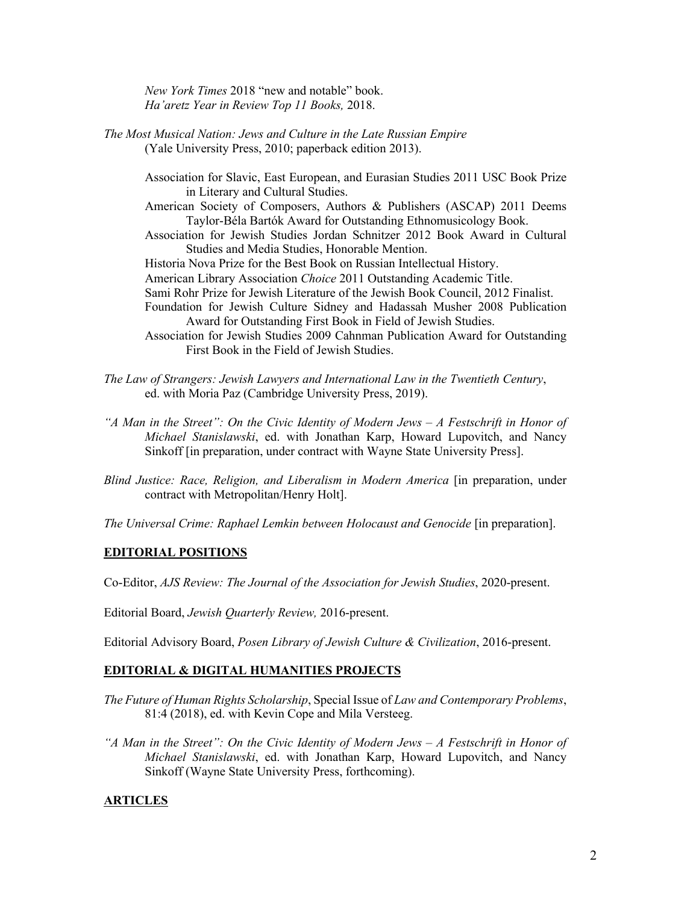*New York Times* 2018 "new and notable" book. *Ha'aretz Year in Review Top 11 Books,* 2018.

- *The Most Musical Nation: Jews and Culture in the Late Russian Empire* (Yale University Press, 2010; paperback edition 2013).
	- Association for Slavic, East European, and Eurasian Studies 2011 USC Book Prize in Literary and Cultural Studies.
	- American Society of Composers, Authors & Publishers (ASCAP) 2011 Deems Taylor-Béla Bartók Award for Outstanding Ethnomusicology Book.
	- Association for Jewish Studies Jordan Schnitzer 2012 Book Award in Cultural Studies and Media Studies, Honorable Mention.
	- Historia Nova Prize for the Best Book on Russian Intellectual History.
	- American Library Association *Choice* 2011 Outstanding Academic Title.
	- Sami Rohr Prize for Jewish Literature of the Jewish Book Council, 2012 Finalist.
	- Foundation for Jewish Culture Sidney and Hadassah Musher 2008 Publication Award for Outstanding First Book in Field of Jewish Studies.
	- Association for Jewish Studies 2009 Cahnman Publication Award for Outstanding First Book in the Field of Jewish Studies.
- *The Law of Strangers: Jewish Lawyers and International Law in the Twentieth Century*, ed. with Moria Paz (Cambridge University Press, 2019).
- *"A Man in the Street": On the Civic Identity of Modern Jews – A Festschrift in Honor of Michael Stanislawski*, ed. with Jonathan Karp, Howard Lupovitch, and Nancy Sinkoff [in preparation, under contract with Wayne State University Press].
- *Blind Justice: Race, Religion, and Liberalism in Modern America* [in preparation, under contract with Metropolitan/Henry Holt].

*The Universal Crime: Raphael Lemkin between Holocaust and Genocide* [in preparation].

### **EDITORIAL POSITIONS**

Co-Editor, *AJS Review: The Journal of the Association for Jewish Studies*, 2020-present.

Editorial Board, *Jewish Quarterly Review,* 2016-present.

Editorial Advisory Board, *Posen Library of Jewish Culture & Civilization*, 2016-present.

## **EDITORIAL & DIGITAL HUMANITIES PROJECTS**

- *The Future of Human Rights Scholarship*, Special Issue of *Law and Contemporary Problems*, 81:4 (2018), ed. with Kevin Cope and Mila Versteeg.
- *"A Man in the Street": On the Civic Identity of Modern Jews – A Festschrift in Honor of Michael Stanislawski*, ed. with Jonathan Karp, Howard Lupovitch, and Nancy Sinkoff (Wayne State University Press, forthcoming).

#### **ARTICLES**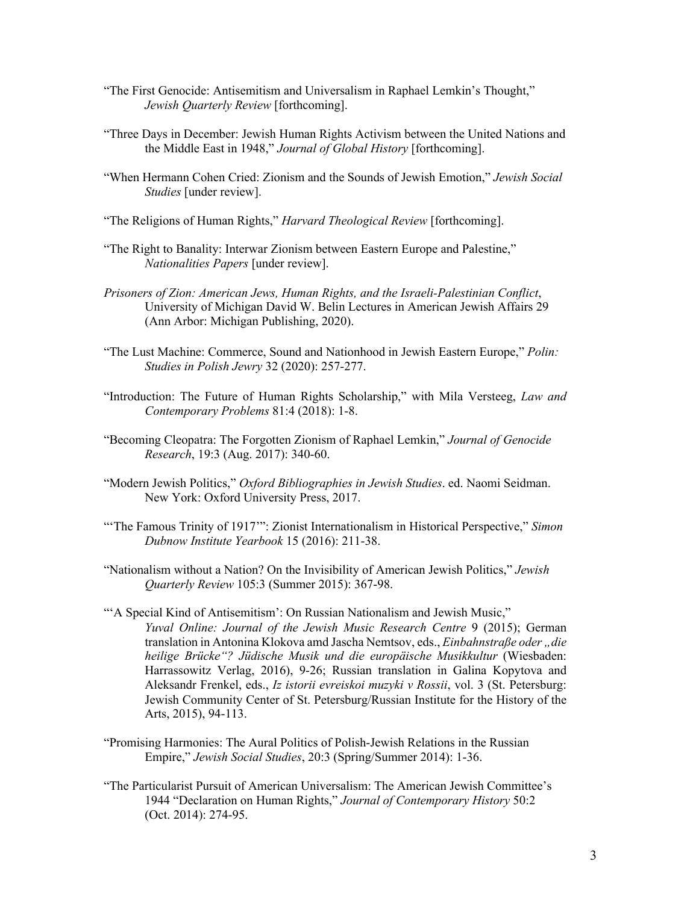- "The First Genocide: Antisemitism and Universalism in Raphael Lemkin's Thought," *Jewish Quarterly Review* [forthcoming].
- "Three Days in December: Jewish Human Rights Activism between the United Nations and the Middle East in 1948," *Journal of Global History* [forthcoming].
- "When Hermann Cohen Cried: Zionism and the Sounds of Jewish Emotion," *Jewish Social Studies* [under review].
- "The Religions of Human Rights," *Harvard Theological Review* [forthcoming].
- "The Right to Banality: Interwar Zionism between Eastern Europe and Palestine," *Nationalities Papers* [under review].
- *Prisoners of Zion: American Jews, Human Rights, and the Israeli-Palestinian Conflict*, University of Michigan David W. Belin Lectures in American Jewish Affairs 29 (Ann Arbor: Michigan Publishing, 2020).
- "The Lust Machine: Commerce, Sound and Nationhood in Jewish Eastern Europe," *Polin: Studies in Polish Jewry* 32 (2020): 257-277.
- "Introduction: The Future of Human Rights Scholarship," with Mila Versteeg, *Law and Contemporary Problems* 81:4 (2018): 1-8.
- "Becoming Cleopatra: The Forgotten Zionism of Raphael Lemkin," *Journal of Genocide Research*, 19:3 (Aug. 2017): 340-60.
- "Modern Jewish Politics," *Oxford Bibliographies in Jewish Studies*. ed. Naomi Seidman. New York: Oxford University Press, 2017.
- "'The Famous Trinity of 1917'": Zionist Internationalism in Historical Perspective," *Simon Dubnow Institute Yearbook* 15 (2016): 211-38.
- "Nationalism without a Nation? On the Invisibility of American Jewish Politics," *Jewish Quarterly Review* 105:3 (Summer 2015): 367-98.
- "'A Special Kind of Antisemitism': On Russian Nationalism and Jewish Music," *Yuval Online: Journal of the Jewish Music Research Centre* 9 (2015); German translation in Antonina Klokova amd Jascha Nemtsov, eds., *Einbahnstraße oder "die heilige Brücke"? Jüdische Musik und die europäische Musikkultur* (Wiesbaden: Harrassowitz Verlag, 2016), 9-26; Russian translation in Galina Kopytova and Aleksandr Frenkel, eds., *Iz istorii evreiskoi muzyki v Rossii*, vol. 3 (St. Petersburg: Jewish Community Center of St. Petersburg/Russian Institute for the History of the Arts, 2015), 94-113.
- "Promising Harmonies: The Aural Politics of Polish-Jewish Relations in the Russian Empire," *Jewish Social Studies*, 20:3 (Spring/Summer 2014): 1-36.
- "The Particularist Pursuit of American Universalism: The American Jewish Committee's 1944 "Declaration on Human Rights," *Journal of Contemporary History* 50:2 (Oct. 2014): 274-95.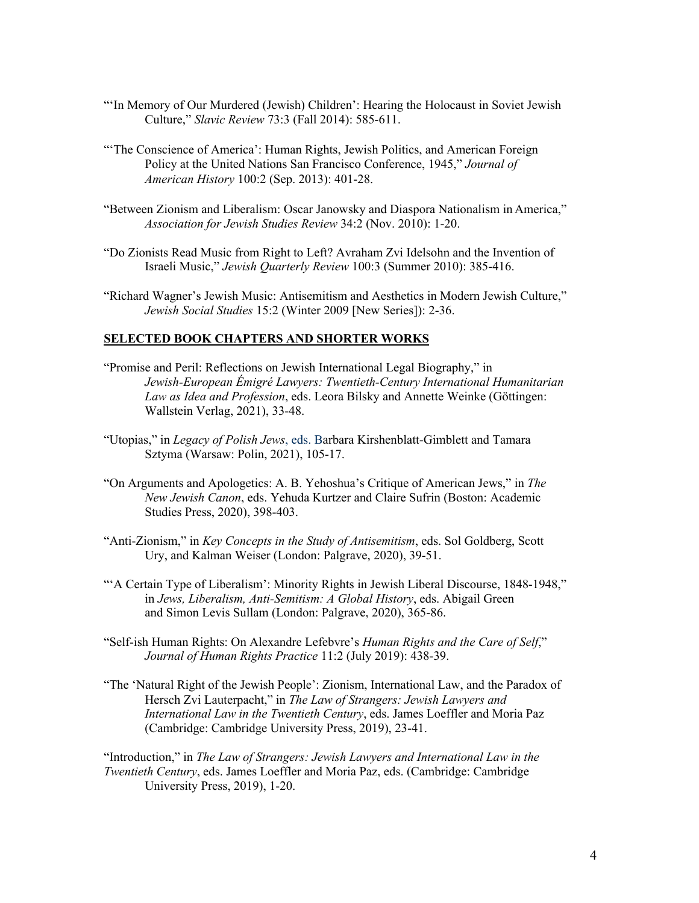- "'In Memory of Our Murdered (Jewish) Children': Hearing the Holocaust in Soviet Jewish Culture," *Slavic Review* 73:3 (Fall 2014): 585-611.
- "'The Conscience of America': Human Rights, Jewish Politics, and American Foreign Policy at the United Nations San Francisco Conference, 1945," *Journal of American History* 100:2 (Sep. 2013): 401-28.
- "Between Zionism and Liberalism: Oscar Janowsky and Diaspora Nationalism in America," *Association for Jewish Studies Review* 34:2 (Nov. 2010): 1-20.
- "Do Zionists Read Music from Right to Left? Avraham Zvi Idelsohn and the Invention of Israeli Music," *Jewish Quarterly Review* 100:3 (Summer 2010): 385-416.
- "Richard Wagner's Jewish Music: Antisemitism and Aesthetics in Modern Jewish Culture," *Jewish Social Studies* 15:2 (Winter 2009 [New Series]): 2-36.

# **SELECTED BOOK CHAPTERS AND SHORTER WORKS**

- "Promise and Peril: Reflections on Jewish International Legal Biography," in *Jewish-European Émigré Lawyers: Twentieth-Century International Humanitarian Law as Idea and Profession*, eds. Leora Bilsky and Annette Weinke (Göttingen: Wallstein Verlag, 2021), 33-48.
- "Utopias," in *Legacy of Polish Jews*, eds. Barbara Kirshenblatt-Gimblett and Tamara Sztyma (Warsaw: Polin, 2021), 105-17.
- "On Arguments and Apologetics: A. B. Yehoshua's Critique of American Jews," in *The New Jewish Canon*, eds. Yehuda Kurtzer and Claire Sufrin (Boston: Academic Studies Press, 2020), 398-403.
- "Anti-Zionism," in *Key Concepts in the Study of Antisemitism*, eds. Sol Goldberg, Scott Ury, and Kalman Weiser (London: Palgrave, 2020), 39-51.
- "'A Certain Type of Liberalism': Minority Rights in Jewish Liberal Discourse, 1848-1948," in *Jews, Liberalism, Anti-Semitism: A Global History*, eds. Abigail Green and Simon Levis Sullam (London: Palgrave, 2020), 365-86.
- "Self-ish Human Rights: On Alexandre Lefebvre's *Human Rights and the Care of Self*," *Journal of Human Rights Practice* 11:2 (July 2019): 438-39.
- "The 'Natural Right of the Jewish People': Zionism, International Law, and the Paradox of Hersch Zvi Lauterpacht," in *The Law of Strangers: Jewish Lawyers and International Law in the Twentieth Century*, eds. James Loeffler and Moria Paz (Cambridge: Cambridge University Press, 2019), 23-41.

"Introduction," in *The Law of Strangers: Jewish Lawyers and International Law in the Twentieth Century*, eds. James Loeffler and Moria Paz, eds. (Cambridge: Cambridge University Press, 2019), 1-20.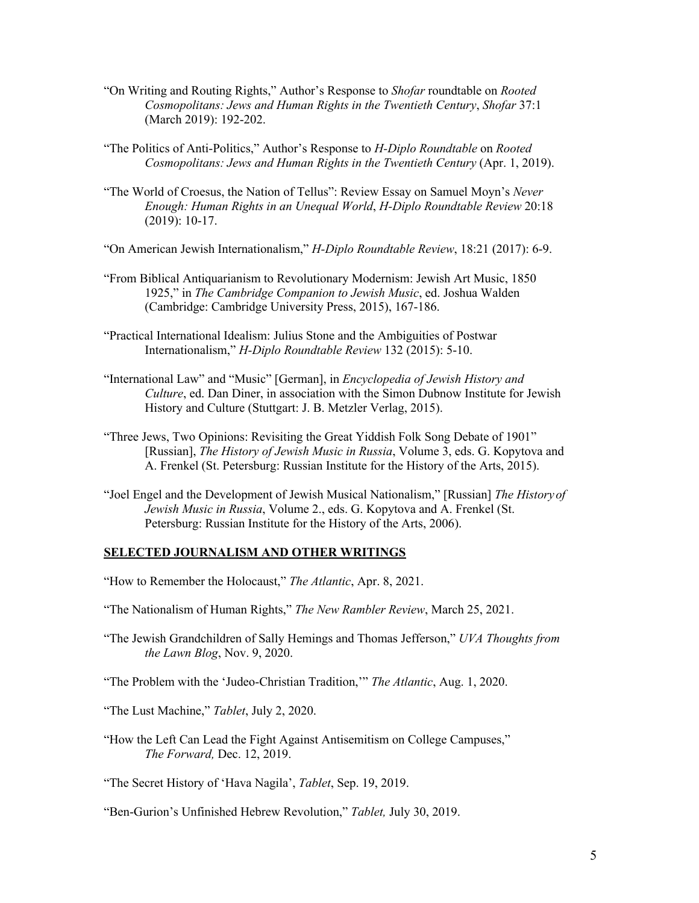- "On Writing and Routing Rights," Author's Response to *Shofar* roundtable on *Rooted Cosmopolitans: Jews and Human Rights in the Twentieth Century*, *Shofar* 37:1 (March 2019): 192-202.
- "The Politics of Anti-Politics," Author's Response to *H-Diplo Roundtable* on *Rooted Cosmopolitans: Jews and Human Rights in the Twentieth Century* (Apr. 1, 2019).
- "The World of Croesus, the Nation of Tellus": Review Essay on Samuel Moyn's *Never Enough: Human Rights in an Unequal World*, *H-Diplo Roundtable Review* 20:18 (2019): 10-17.
- "On American Jewish Internationalism," *H-Diplo Roundtable Review*, 18:21 (2017): 6-9.
- "From Biblical Antiquarianism to Revolutionary Modernism: Jewish Art Music, 1850 1925," in *The Cambridge Companion to Jewish Music*, ed. Joshua Walden (Cambridge: Cambridge University Press, 2015), 167-186.
- "Practical International Idealism: Julius Stone and the Ambiguities of Postwar Internationalism," *H-Diplo Roundtable Review* 132 (2015): 5-10.
- "International Law" and "Music" [German], in *Encyclopedia of Jewish History and Culture*, ed. Dan Diner, in association with the Simon Dubnow Institute for Jewish History and Culture (Stuttgart: J. B. Metzler Verlag, 2015).
- "Three Jews, Two Opinions: Revisiting the Great Yiddish Folk Song Debate of 1901" [Russian], *The History of Jewish Music in Russia*, Volume 3, eds. G. Kopytova and A. Frenkel (St. Petersburg: Russian Institute for the History of the Arts, 2015).
- "Joel Engel and the Development of Jewish Musical Nationalism," [Russian] *The Historyof Jewish Music in Russia*, Volume 2., eds. G. Kopytova and A. Frenkel (St. Petersburg: Russian Institute for the History of the Arts, 2006).

### **SELECTED JOURNALISM AND OTHER WRITINGS**

- "How to Remember the Holocaust," *The Atlantic*, Apr. 8, 2021.
- "The Nationalism of Human Rights," *The New Rambler Review*, March 25, 2021.
- "The Jewish Grandchildren of Sally Hemings and Thomas Jefferson," *UVA Thoughts from the Lawn Blog*, Nov. 9, 2020.
- "The Problem with the 'Judeo-Christian Tradition,'" *The Atlantic*, Aug. 1, 2020.
- "The Lust Machine," *Tablet*, July 2, 2020.
- "How the Left Can Lead the Fight Against Antisemitism on College Campuses," *The Forward,* Dec. 12, 2019.

"The Secret History of 'Hava Nagila', *Tablet*, Sep. 19, 2019.

"Ben-Gurion's Unfinished Hebrew Revolution," *Tablet,* July 30, 2019.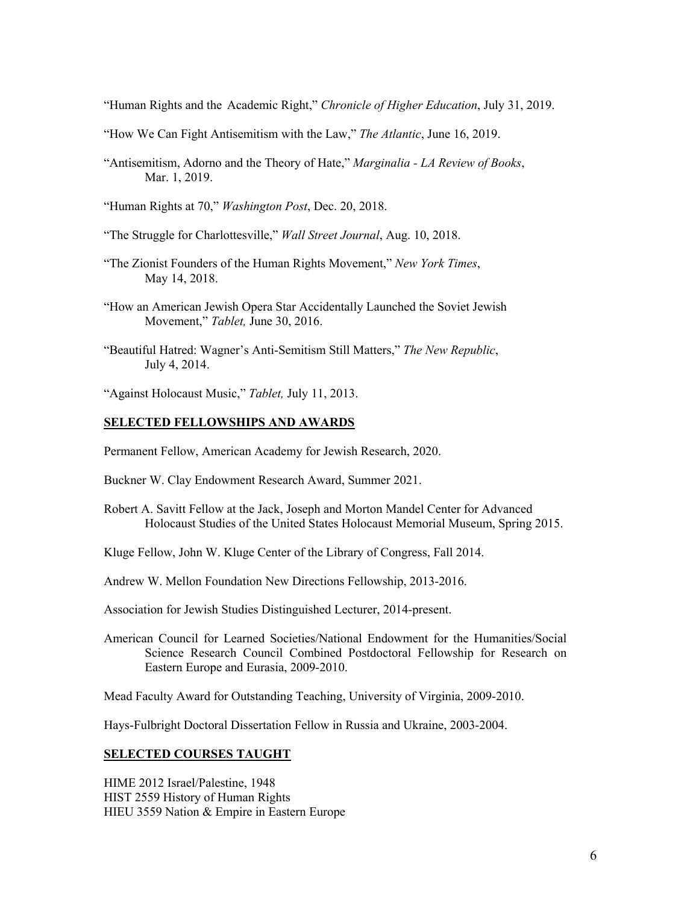"Human Rights and the Academic Right," *Chronicle of Higher Education*, July 31, 2019.

- "How We Can Fight Antisemitism with the Law," *The Atlantic*, June 16, 2019.
- "Antisemitism, Adorno and the Theory of Hate," *Marginalia - LA Review of Books*, Mar. 1, 2019.

"Human Rights at 70," *Washington Post*, Dec. 20, 2018.

"The Struggle for Charlottesville," *Wall Street Journal*, Aug. 10, 2018.

- "The Zionist Founders of the Human Rights Movement," *New York Times*, May 14, 2018.
- "How an American Jewish Opera Star Accidentally Launched the Soviet Jewish Movement," *Tablet,* June 30, 2016.
- "Beautiful Hatred: Wagner's Anti-Semitism Still Matters," *The New Republic*, July 4, 2014.

"Against Holocaust Music," *Tablet,* July 11, 2013.

#### **SELECTED FELLOWSHIPS AND AWARDS**

Permanent Fellow, American Academy for Jewish Research, 2020.

- Buckner W. Clay Endowment Research Award, Summer 2021.
- Robert A. Savitt Fellow at the Jack, Joseph and Morton Mandel Center for Advanced Holocaust Studies of the United States Holocaust Memorial Museum, Spring 2015.

Kluge Fellow, John W. Kluge Center of the Library of Congress, Fall 2014.

Andrew W. Mellon Foundation New Directions Fellowship, 2013-2016.

Association for Jewish Studies Distinguished Lecturer, 2014-present.

American Council for Learned Societies/National Endowment for the Humanities/Social Science Research Council Combined Postdoctoral Fellowship for Research on Eastern Europe and Eurasia, 2009-2010.

Mead Faculty Award for Outstanding Teaching, University of Virginia, 2009-2010.

Hays-Fulbright Doctoral Dissertation Fellow in Russia and Ukraine, 2003-2004.

#### **SELECTED COURSES TAUGHT**

HIME 2012 Israel/Palestine, 1948 HIST 2559 History of Human Rights HIEU 3559 Nation & Empire in Eastern Europe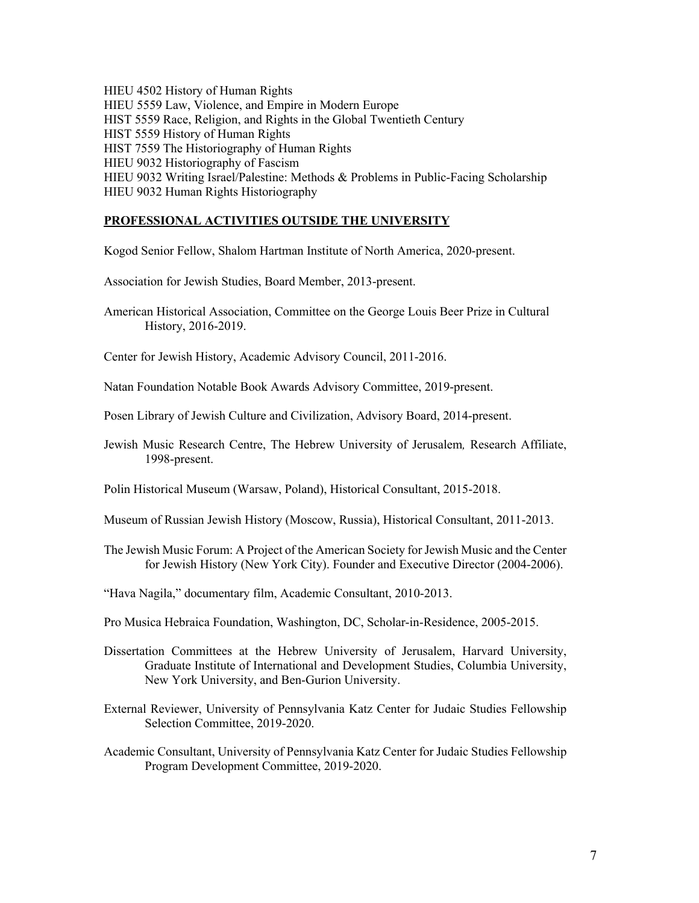HIEU 4502 History of Human Rights HIEU 5559 Law, Violence, and Empire in Modern Europe HIST 5559 Race, Religion, and Rights in the Global Twentieth Century HIST 5559 History of Human Rights HIST 7559 The Historiography of Human Rights HIEU 9032 Historiography of Fascism HIEU 9032 Writing Israel/Palestine: Methods & Problems in Public-Facing Scholarship HIEU 9032 Human Rights Historiography

#### **PROFESSIONAL ACTIVITIES OUTSIDE THE UNIVERSITY**

Kogod Senior Fellow, Shalom Hartman Institute of North America, 2020-present.

Association for Jewish Studies, Board Member, 2013-present.

American Historical Association, Committee on the George Louis Beer Prize in Cultural History, 2016-2019.

Center for Jewish History, Academic Advisory Council, 2011-2016.

Natan Foundation Notable Book Awards Advisory Committee, 2019-present.

- Posen Library of Jewish Culture and Civilization, Advisory Board, 2014-present.
- Jewish Music Research Centre, The Hebrew University of Jerusalem*,* Research Affiliate, 1998-present.

Polin Historical Museum (Warsaw, Poland), Historical Consultant, 2015-2018.

Museum of Russian Jewish History (Moscow, Russia), Historical Consultant, 2011-2013.

The Jewish Music Forum: A Project of the American Society for Jewish Music and the Center for Jewish History (New York City). Founder and Executive Director (2004-2006).

"Hava Nagila," documentary film, Academic Consultant, 2010-2013.

Pro Musica Hebraica Foundation, Washington, DC, Scholar-in-Residence, 2005-2015.

- Dissertation Committees at the Hebrew University of Jerusalem, Harvard University, Graduate Institute of International and Development Studies, Columbia University, New York University, and Ben-Gurion University.
- External Reviewer, University of Pennsylvania Katz Center for Judaic Studies Fellowship Selection Committee, 2019-2020.
- Academic Consultant, University of Pennsylvania Katz Center for Judaic Studies Fellowship Program Development Committee, 2019-2020.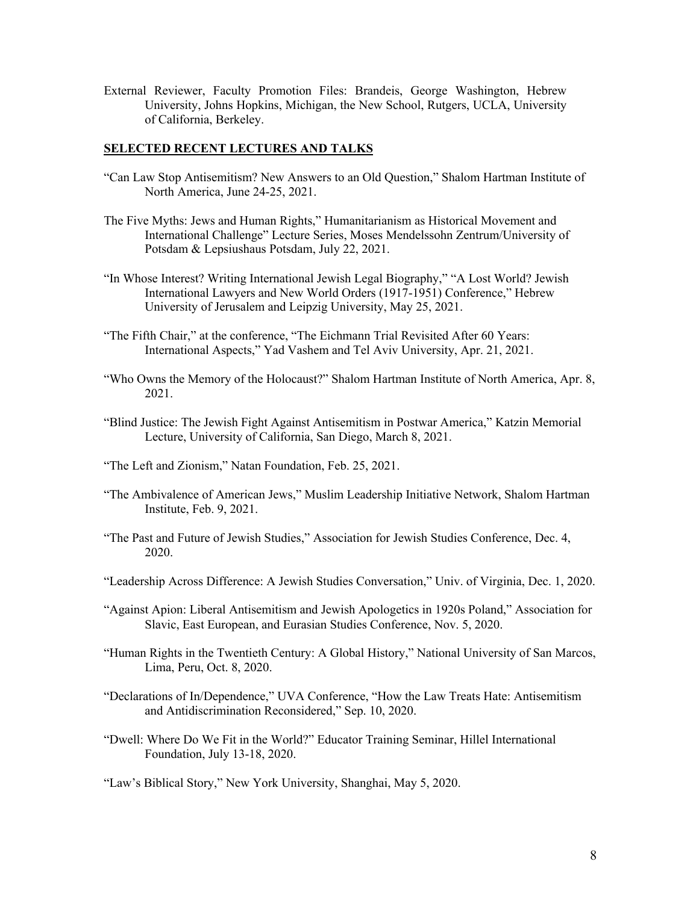External Reviewer, Faculty Promotion Files: Brandeis, George Washington, Hebrew University, Johns Hopkins, Michigan, the New School, Rutgers, UCLA, University of California, Berkeley.

## **SELECTED RECENT LECTURES AND TALKS**

- "Can Law Stop Antisemitism? New Answers to an Old Question," Shalom Hartman Institute of North America, June 24-25, 2021.
- The Five Myths: Jews and Human Rights," Humanitarianism as Historical Movement and International Challenge" Lecture Series, Moses Mendelssohn Zentrum/University of Potsdam & Lepsiushaus Potsdam, July 22, 2021.
- "In Whose Interest? Writing International Jewish Legal Biography," "A Lost World? Jewish International Lawyers and New World Orders (1917-1951) Conference," Hebrew University of Jerusalem and Leipzig University, May 25, 2021.
- "The Fifth Chair," at the conference, "The Eichmann Trial Revisited After 60 Years: International Aspects," Yad Vashem and Tel Aviv University, Apr. 21, 2021.
- "Who Owns the Memory of the Holocaust?" Shalom Hartman Institute of North America, Apr. 8, 2021.
- "Blind Justice: The Jewish Fight Against Antisemitism in Postwar America," Katzin Memorial Lecture, University of California, San Diego, March 8, 2021.
- "The Left and Zionism," Natan Foundation, Feb. 25, 2021.
- "The Ambivalence of American Jews," Muslim Leadership Initiative Network, Shalom Hartman Institute, Feb. 9, 2021.
- "The Past and Future of Jewish Studies," Association for Jewish Studies Conference, Dec. 4, 2020.
- "Leadership Across Difference: A Jewish Studies Conversation," Univ. of Virginia, Dec. 1, 2020.
- "Against Apion: Liberal Antisemitism and Jewish Apologetics in 1920s Poland," Association for Slavic, East European, and Eurasian Studies Conference, Nov. 5, 2020.
- "Human Rights in the Twentieth Century: A Global History," National University of San Marcos, Lima, Peru, Oct. 8, 2020.
- "Declarations of In/Dependence," UVA Conference, "How the Law Treats Hate: Antisemitism and Antidiscrimination Reconsidered," Sep. 10, 2020.
- "Dwell: Where Do We Fit in the World?" Educator Training Seminar, Hillel International Foundation, July 13-18, 2020.

"Law's Biblical Story," New York University, Shanghai, May 5, 2020.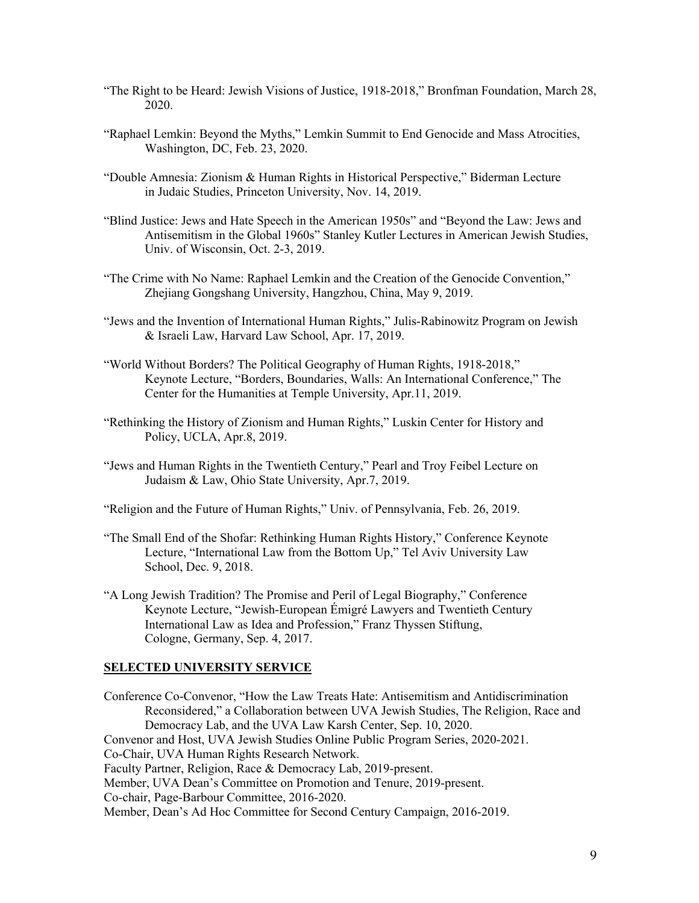- "The Right to be Heard: Jewish Visions of Justice, 1918-2018," Bronfman Foundation, March 28, 2020.
- "Raphael Lemkin: Beyond the Myths," Lemkin Summit to End Genocide and Mass Atrocities, Washington, DC, Feb. 23, 2020.
- "Double Amnesia: Zionism & Human Rights in Historical Perspective," Biderman Lecture in Judaic Studies, Princeton University, Nov. 14, 2019.
- "Blind Justice: Jews and Hate Speech in the American 1950s" and "Beyond the Law: Jews and Antisemitism in the Global 1960s" Stanley Kutler Lectures in American Jewish Studies, Univ. of Wisconsin, Oct. 2-3, 2019.
- "The Crime with No Name: Raphael Lemkin and the Creation of the Genocide Convention," Zhejiang Gongshang University, Hangzhou, China, May 9, 2019.
- "Jews and the Invention of International Human Rights," Julis-Rabinowitz Program on Jewish & Israeli Law, Harvard Law School, Apr. 17, 2019.
- "World Without Borders? The Political Geography of Human Rights, 1918-2018," Keynote Lecture, "Borders, Boundaries, Walls: An International Conference," The Center for the Humanities at Temple University, Apr.11, 2019.
- "Rethinking the History of Zionism and Human Rights," Luskin Center for History and Policy, UCLA, Apr.8, 2019.
- "Jews and Human Rights in the Twentieth Century," Pearl and Troy Feibel Lecture on Judaism & Law, Ohio State University, Apr.7, 2019.
- "Religion and the Future of Human Rights," Univ. of Pennsylvania, Feb. 26, 2019.
- "The Small End of the Shofar: Rethinking Human Rights History," Conference Keynote Lecture, "International Law from the Bottom Up," Tel Aviv University Law School, Dec. 9, 2018.
- "A Long Jewish Tradition? The Promise and Peril of Legal Biography," Conference Keynote Lecture, "Jewish-European Émigré Lawyers and Twentieth Century International Law as Idea and Profession," Franz Thyssen Stiftung, Cologne, Germany, Sep. 4, 2017.

#### **SELECTED UNIVERSITY SERVICE**

Conference Co-Convenor, "How the Law Treats Hate: Antisemitism and Antidiscrimination Reconsidered," a Collaboration between UVA Jewish Studies, The Religion, Race and Democracy Lab, and the UVA Law Karsh Center, Sep. 10, 2020. Convenor and Host, UVA Jewish Studies Online Public Program Series, 2020-2021. Co-Chair, UVA Human Rights Research Network. Faculty Partner, Religion, Race & Democracy Lab, 2019-present. Member, UVA Dean's Committee on Promotion and Tenure, 2019-present. Co-chair, Page-Barbour Committee, 2016-2020. Member, Dean's Ad Hoc Committee for Second Century Campaign, 2016-2019.